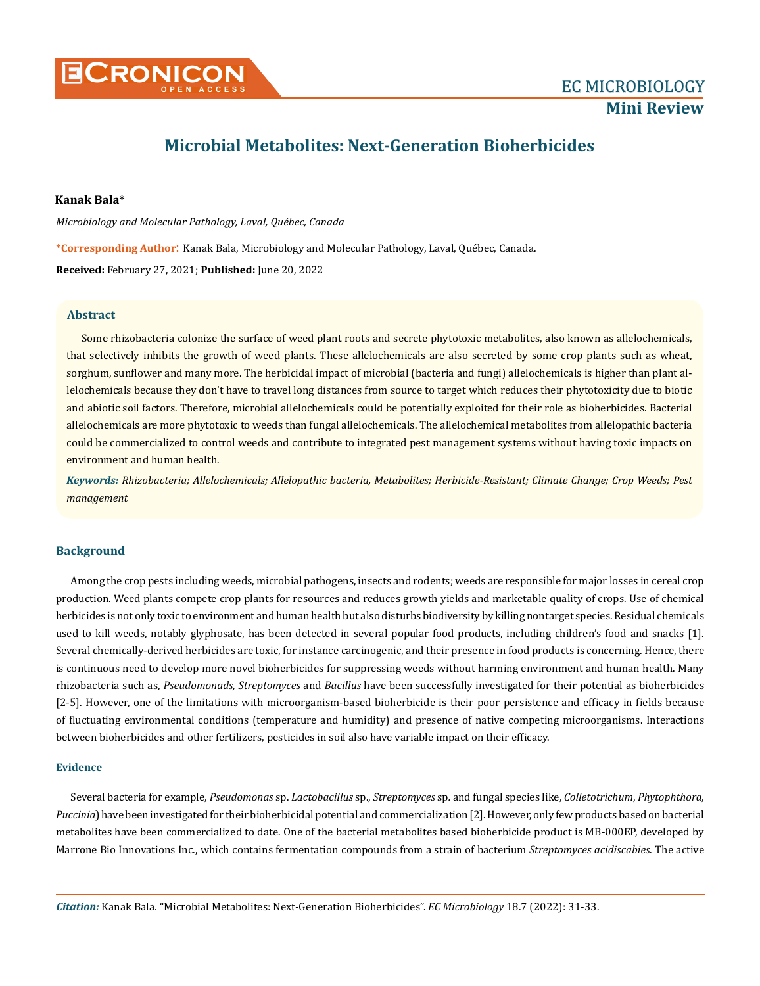

# **Microbial Metabolites: Next-Generation Bioherbicides**

# **Kanak Bala\***

*Microbiology and Molecular Pathology, Laval, Québec, Canada*

**\*Corresponding Author**: Kanak Bala, Microbiology and Molecular Pathology, Laval, Québec, Canada.

**Received:** February 27, 2021; **Published:** June 20, 2022

### **Abstract**

Some rhizobacteria colonize the surface of weed plant roots and secrete phytotoxic metabolites, also known as allelochemicals, that selectively inhibits the growth of weed plants. These allelochemicals are also secreted by some crop plants such as wheat, sorghum, sunflower and many more. The herbicidal impact of microbial (bacteria and fungi) allelochemicals is higher than plant allelochemicals because they don't have to travel long distances from source to target which reduces their phytotoxicity due to biotic and abiotic soil factors. Therefore, microbial allelochemicals could be potentially exploited for their role as bioherbicides. Bacterial allelochemicals are more phytotoxic to weeds than fungal allelochemicals. The allelochemical metabolites from allelopathic bacteria could be commercialized to control weeds and contribute to integrated pest management systems without having toxic impacts on environment and human health.

*Keywords: Rhizobacteria; Allelochemicals; Allelopathic bacteria, Metabolites; Herbicide-Resistant; Climate Change; Crop Weeds; Pest management*

# **Background**

Among the crop pests including weeds, microbial pathogens, insects and rodents; weeds are responsible for major losses in cereal crop production. Weed plants compete crop plants for resources and reduces growth yields and marketable quality of crops. Use of chemical herbicides is not only toxic to environment and human health but also disturbs biodiversity by killing nontarget species. Residual chemicals used to kill weeds, notably glyphosate, has been detected in several popular food products, including children's food and snacks [1]. Several chemically-derived herbicides are toxic, for instance carcinogenic, and their presence in food products is concerning. Hence, there is continuous need to develop more novel bioherbicides for suppressing weeds without harming environment and human health. Many rhizobacteria such as, *Pseudomonads, Streptomyces* and *Bacillus* have been successfully investigated for their potential as bioherbicides [2-5]. However, one of the limitations with microorganism-based bioherbicide is their poor persistence and efficacy in fields because of fluctuating environmental conditions (temperature and humidity) and presence of native competing microorganisms. Interactions between bioherbicides and other fertilizers, pesticides in soil also have variable impact on their efficacy.

### **Evidence**

Several bacteria for example, *Pseudomonas* sp. *Lactobacillus* sp., *Streptomyces* sp*.* and fungal species like, *Colletotrichum*, *Phytophthora*, *Puccinia*) have been investigated for their bioherbicidal potential and commercialization [2]. However, only few products based on bacterial metabolites have been commercialized to date. One of the bacterial metabolites based bioherbicide product is MB-000EP, developed by Marrone Bio Innovations Inc., which contains fermentation compounds from a strain of bacterium *Streptomyces acidiscabies*. The active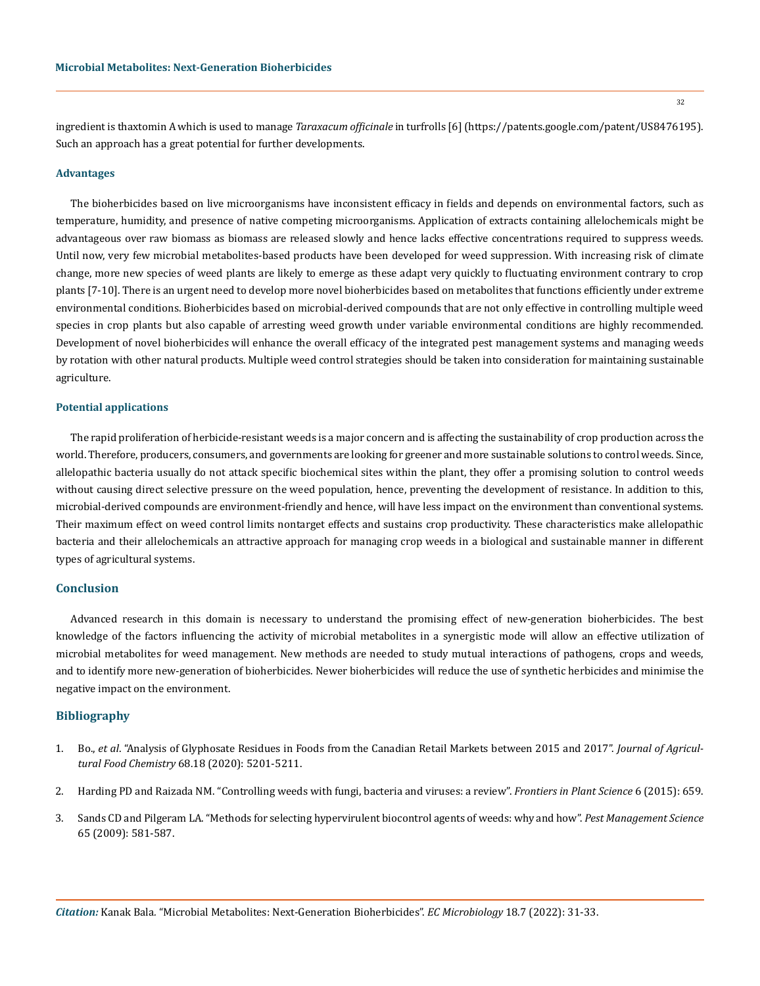ingredient is thaxtomin A which is used to manage *Taraxacum officinale* in turfrolls [6] (https://patents.google.com/patent/US8476195). Such an approach has a great potential for further developments.

#### **Advantages**

The bioherbicides based on live microorganisms have inconsistent efficacy in fields and depends on environmental factors, such as temperature, humidity, and presence of native competing microorganisms. Application of extracts containing allelochemicals might be advantageous over raw biomass as biomass are released slowly and hence lacks effective concentrations required to suppress weeds. Until now, very few microbial metabolites-based products have been developed for weed suppression. With increasing risk of climate change, more new species of weed plants are likely to emerge as these adapt very quickly to fluctuating environment contrary to crop plants [7-10]. There is an urgent need to develop more novel bioherbicides based on metabolites that functions efficiently under extreme environmental conditions. Bioherbicides based on microbial-derived compounds that are not only effective in controlling multiple weed species in crop plants but also capable of arresting weed growth under variable environmental conditions are highly recommended. Development of novel bioherbicides will enhance the overall efficacy of the integrated pest management systems and managing weeds by rotation with other natural products. Multiple weed control strategies should be taken into consideration for maintaining sustainable agriculture.

#### **Potential applications**

The rapid proliferation of herbicide-resistant weeds is a major concern and is affecting the sustainability of crop production across the world. Therefore, producers, consumers, and governments are looking for greener and more sustainable solutions to control weeds. Since, allelopathic bacteria usually do not attack specific biochemical sites within the plant, they offer a promising solution to control weeds without causing direct selective pressure on the weed population, hence, preventing the development of resistance. In addition to this, microbial-derived compounds are environment-friendly and hence, will have less impact on the environment than conventional systems. Their maximum effect on weed control limits nontarget effects and sustains crop productivity. These characteristics make allelopathic bacteria and their allelochemicals an attractive approach for managing crop weeds in a biological and sustainable manner in different types of agricultural systems.

# **Conclusion**

Advanced research in this domain is necessary to understand the promising effect of new-generation bioherbicides. The best knowledge of the factors influencing the activity of microbial metabolites in a synergistic mode will allow an effective utilization of microbial metabolites for weed management. New methods are needed to study mutual interactions of pathogens, crops and weeds, and to identify more new-generation of bioherbicides. Newer bioherbicides will reduce the use of synthetic herbicides and minimise the negative impact on the environment.

## **Bibliography**

- 1. Bo., *et al*[. "Analysis of Glyphosate Residues in Foods from the Canadian Retail Markets between 2015 and 2017".](https://pubs.acs.org/doi/10.1021/acs.jafc.9b07819) *Journal of Agricultural Food Chemistry* [68.18 \(2020\): 5201-5211.](https://pubs.acs.org/doi/10.1021/acs.jafc.9b07819)
- 2. [Harding PD and Raizada NM. "Controlling weeds with fungi, bacteria and viruses: a review".](https://www.frontiersin.org/articles/10.3389/fpls.2015.00659/full) *Frontiers in Plant Science* 6 (2015): 659.
- 3. [Sands CD and Pilgeram LA. "Methods for selecting hypervirulent biocontrol agents of weeds: why and how".](https://pubmed.ncbi.nlm.nih.gov/19288472/) *Pest Management Science* [65 \(2009\): 581-587.](https://pubmed.ncbi.nlm.nih.gov/19288472/)